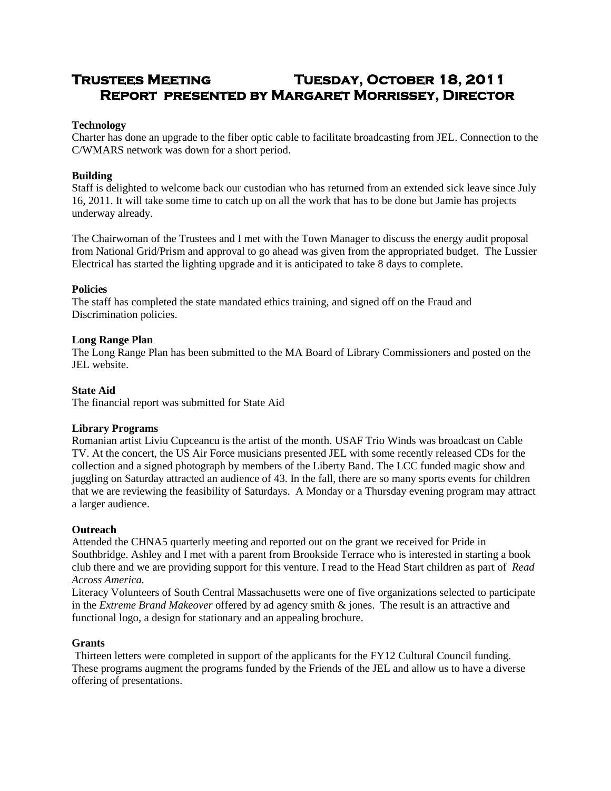# **Trustees Meeting Tuesday, October 18, 2011 Report presented by Margaret Morrissey, Director**

### **Technology**

Charter has done an upgrade to the fiber optic cable to facilitate broadcasting from JEL. Connection to the C/WMARS network was down for a short period.

# **Building**

Staff is delighted to welcome back our custodian who has returned from an extended sick leave since July 16, 2011. It will take some time to catch up on all the work that has to be done but Jamie has projects underway already.

The Chairwoman of the Trustees and I met with the Town Manager to discuss the energy audit proposal from National Grid/Prism and approval to go ahead was given from the appropriated budget. The Lussier Electrical has started the lighting upgrade and it is anticipated to take 8 days to complete.

### **Policies**

The staff has completed the state mandated ethics training, and signed off on the Fraud and Discrimination policies.

# **Long Range Plan**

The Long Range Plan has been submitted to the MA Board of Library Commissioners and posted on the JEL website.

# **State Aid**

The financial report was submitted for State Aid

### **Library Programs**

Romanian artist Liviu Cupceancu is the artist of the month. USAF Trio Winds was broadcast on Cable TV. At the concert, the US Air Force musicians presented JEL with some recently released CDs for the collection and a signed photograph by members of the Liberty Band. The LCC funded magic show and juggling on Saturday attracted an audience of 43. In the fall, there are so many sports events for children that we are reviewing the feasibility of Saturdays. A Monday or a Thursday evening program may attract a larger audience.

### **Outreach**

Attended the CHNA5 quarterly meeting and reported out on the grant we received for Pride in Southbridge. Ashley and I met with a parent from Brookside Terrace who is interested in starting a book club there and we are providing support for this venture. I read to the Head Start children as part of *Read Across America.*

Literacy Volunteers of South Central Massachusetts were one of five organizations selected to participate in the *Extreme Brand Makeover* offered by ad agency smith & jones. The result is an attractive and functional logo, a design for stationary and an appealing brochure.

### **Grants**

Thirteen letters were completed in support of the applicants for the FY12 Cultural Council funding. These programs augment the programs funded by the Friends of the JEL and allow us to have a diverse offering of presentations.